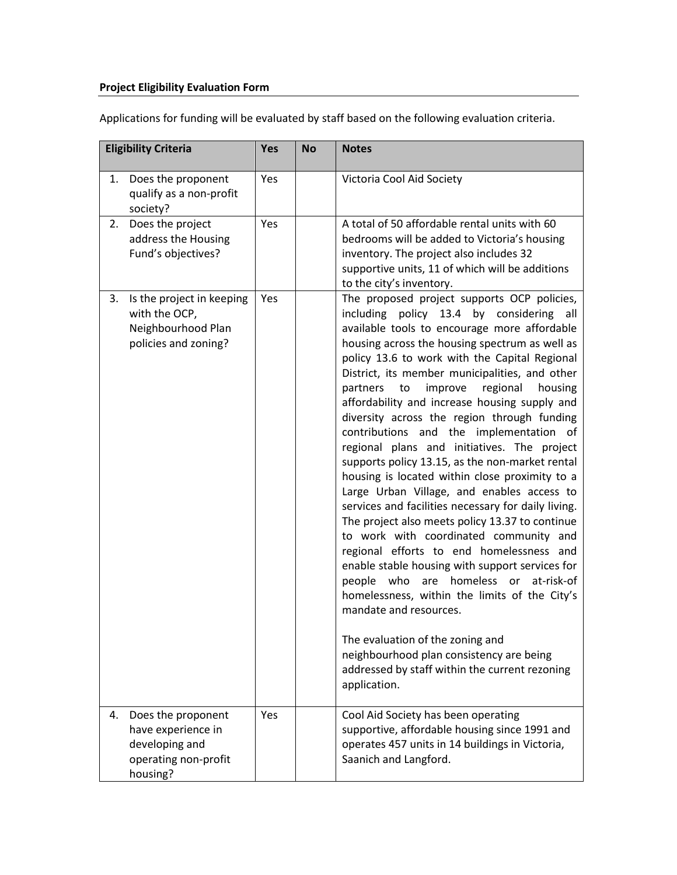## **Project Eligibility Evaluation Form**

Applications for funding will be evaluated by staff based on the following evaluation criteria.

| <b>Eligibility Criteria</b> |                                                                                                | <b>Yes</b> | <b>No</b> | <b>Notes</b>                                                                                                                                                                                                                                                                                                                                                                                                                                                                                                                                                                                                                                                                                                                                                                                                                                                                                                                                                                                                                                                                                                                                                                                                              |
|-----------------------------|------------------------------------------------------------------------------------------------|------------|-----------|---------------------------------------------------------------------------------------------------------------------------------------------------------------------------------------------------------------------------------------------------------------------------------------------------------------------------------------------------------------------------------------------------------------------------------------------------------------------------------------------------------------------------------------------------------------------------------------------------------------------------------------------------------------------------------------------------------------------------------------------------------------------------------------------------------------------------------------------------------------------------------------------------------------------------------------------------------------------------------------------------------------------------------------------------------------------------------------------------------------------------------------------------------------------------------------------------------------------------|
| 1.                          | Does the proponent<br>qualify as a non-profit<br>society?                                      | Yes        |           | Victoria Cool Aid Society                                                                                                                                                                                                                                                                                                                                                                                                                                                                                                                                                                                                                                                                                                                                                                                                                                                                                                                                                                                                                                                                                                                                                                                                 |
| 2.                          | Does the project<br>address the Housing<br>Fund's objectives?                                  | Yes        |           | A total of 50 affordable rental units with 60<br>bedrooms will be added to Victoria's housing<br>inventory. The project also includes 32<br>supportive units, 11 of which will be additions<br>to the city's inventory.                                                                                                                                                                                                                                                                                                                                                                                                                                                                                                                                                                                                                                                                                                                                                                                                                                                                                                                                                                                                   |
| 3.                          | Is the project in keeping<br>with the OCP,<br>Neighbourhood Plan<br>policies and zoning?       | Yes        |           | The proposed project supports OCP policies,<br>including policy 13.4 by considering all<br>available tools to encourage more affordable<br>housing across the housing spectrum as well as<br>policy 13.6 to work with the Capital Regional<br>District, its member municipalities, and other<br>improve<br>regional<br>housing<br>partners<br>to<br>affordability and increase housing supply and<br>diversity across the region through funding<br>contributions and the implementation of<br>regional plans and initiatives. The project<br>supports policy 13.15, as the non-market rental<br>housing is located within close proximity to a<br>Large Urban Village, and enables access to<br>services and facilities necessary for daily living.<br>The project also meets policy 13.37 to continue<br>to work with coordinated community and<br>regional efforts to end homelessness and<br>enable stable housing with support services for<br>people who are homeless or<br>at-risk-of<br>homelessness, within the limits of the City's<br>mandate and resources.<br>The evaluation of the zoning and<br>neighbourhood plan consistency are being<br>addressed by staff within the current rezoning<br>application. |
| 4.                          | Does the proponent<br>have experience in<br>developing and<br>operating non-profit<br>housing? | Yes        |           | Cool Aid Society has been operating<br>supportive, affordable housing since 1991 and<br>operates 457 units in 14 buildings in Victoria,<br>Saanich and Langford.                                                                                                                                                                                                                                                                                                                                                                                                                                                                                                                                                                                                                                                                                                                                                                                                                                                                                                                                                                                                                                                          |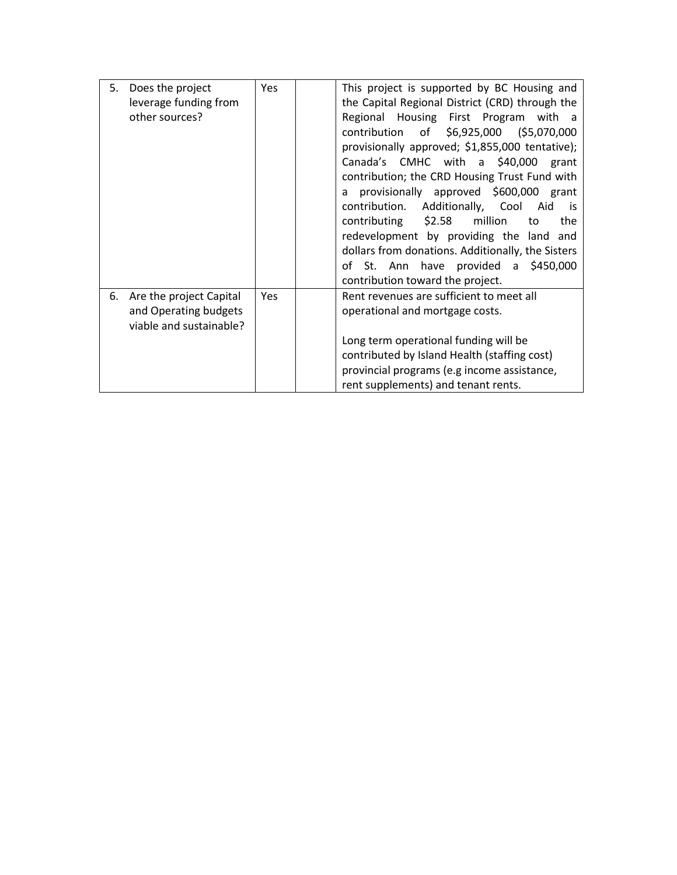| 5. | Does the project        | <b>Yes</b> | This project is supported by BC Housing and       |
|----|-------------------------|------------|---------------------------------------------------|
|    | leverage funding from   |            | the Capital Regional District (CRD) through the   |
|    | other sources?          |            | Regional Housing First Program with a             |
|    |                         |            | of \$6,925,000 (\$5,070,000<br>contribution       |
|    |                         |            | provisionally approved; \$1,855,000 tentative);   |
|    |                         |            | Canada's CMHC with a \$40,000<br>grant            |
|    |                         |            | contribution; the CRD Housing Trust Fund with     |
|    |                         |            | provisionally approved \$600,000 grant<br>a       |
|    |                         |            | contribution.<br>Additionally, Cool<br>Aid<br>is  |
|    |                         |            | \$2.58<br>million<br>contributing<br>to<br>the    |
|    |                         |            | redevelopment by providing the land and           |
|    |                         |            | dollars from donations. Additionally, the Sisters |
|    |                         |            | of St. Ann have provided a \$450,000              |
|    |                         |            | contribution toward the project.                  |
| 6. | Are the project Capital | Yes        | Rent revenues are sufficient to meet all          |
|    | and Operating budgets   |            | operational and mortgage costs.                   |
|    | viable and sustainable? |            |                                                   |
|    |                         |            | Long term operational funding will be             |
|    |                         |            | contributed by Island Health (staffing cost)      |
|    |                         |            | provincial programs (e.g income assistance,       |
|    |                         |            | rent supplements) and tenant rents.               |